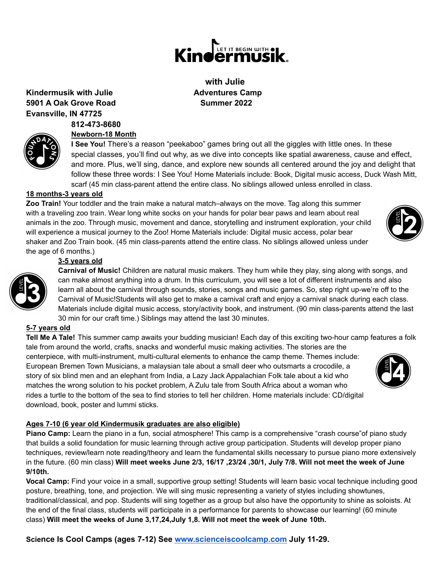**Science Is Cool Camps (ages 7-12) See [www.scienceiscoolcamp.com](http://www.scienceiscoolcamp.com) July 11-29.**

#### **Kindermusik with Julie Adventures Camp 5901 A Oak Grove Road Summer 2022 Evansville, IN 47725**

#### **812-473-8680**

#### **Newborn-18 Month**

**I See You!** There's a reason "peekaboo" games bring out all the giggles with little ones. In these special classes, you'll find out why, as we dive into concepts like spatial awareness, cause and effect, and more. Plus, we'll sing, dance, and explore new sounds all centered around the joy and delight that follow these three words: I See You! Home Materials include: Book, Digital music access, Duck Wash Mitt, scarf (45 min class-parent attend the entire class. No siblings allowed unless enrolled in class.

# **18 months-3 years old**

**Zoo Train!** Your toddler and the train make a natural match–always on the move. Tag along this summer with a traveling zoo train. Wear long white socks on your hands for polar bear paws and learn about real animals in the zoo. Through music, movement and dance, storytelling and instrument exploration, your child will experience a musical journey to the Zoo! Home Materials include: Digital music access, polar bear shaker and Zoo Train book. (45 min class-parents attend the entire class. No siblings allowed unless under the age of 6 months.)

# **3-5 years old**

**Carnival of Music!** Children are natural music makers. They hum while they play, sing along with songs, and can make almost anything into a drum. In this curriculum, you will see a lot of different instruments and also learn all about the carnival through sounds, stories, songs and music games. So, step right up-we're off to the Carnival of Music!Students will also get to make a carnival craft and enjoy a carnival snack during each class. Materials include digital music access, story/activity book, and instrument. (90 min class-parents attend the last 30 min for our craft time.) Siblings may attend the last 30 minutes.

# **5-7 years old**

**Tell Me A Tale!** This summer camp awaits your budding musician! Each day of this exciting two-hour camp features a folk tale from around the world, crafts, snacks and wonderful music making activities. The stories are the centerpiece, with multi-instrument, multi-cultural elements to enhance the camp theme. Themes include: European Bremen Town Musicians, a malaysian tale about a small deer who outsmarts a crocodile, a story of six blind men and an elephant from India, a Lazy Jack Appalachian Folk tale about a kid who matches the wrong solution to his pocket problem, A Zulu tale from South Africa about a woman who rides a turtle to the bottom of the sea to find stories to tell her children. Home materials include: CD/digital download, book, poster and lummi sticks.

# **Ages 7-10 (6 year old Kindermusik graduates are also eligible)**

**Piano Camp:** Learn the piano in a fun, social atmosphere! This camp is a comprehensive "crash course"of piano study that builds a solid foundation for music learning through active group participation. Students will develop proper piano techniques, review/learn note reading/theory and learn the fundamental skills necessary to pursue piano more extensively in the future. (60 min class) Will meet weeks June 2/3, 16/17, 23/24, 30/1, July 7/8. Will not meet the week of June **9/10th.**

**Vocal Camp:** Find your voice in a small, supportive group setting! Students will learn basic vocal technique including good posture, breathing, tone, and projection. We will sing music representing a variety of styles including showtunes, traditional/classical, and pop. Students will sing together as a group but also have the opportunity to shine as soloists. At the end of the final class, students will participate in a performance for parents to showcase our learning! (60 minute class) **Will meet the weeks of June 3,17,24,July 1,8. Will not meet the week of June 10th.**

**with Julie**